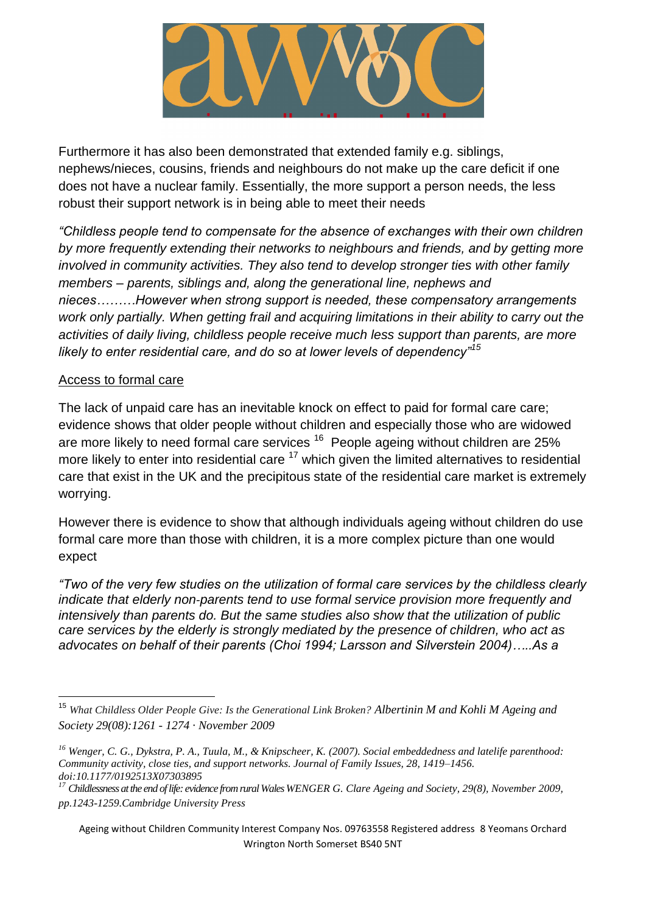Furthermore it has also been demonstrated that extended family e.g. siblings, nephews/nieces, cousins, friends and neighbours do not make up the care deficit if one does not have a nuclear family. Essentially, the more support a person needs, the less robust their support network is in being able to meet their needs

*"Childless people tend to compensate for the absence of exchanges with their own children by more frequently extending their networks to neighbours and friends, and by getting more involved in community activities. They also tend to develop stronger ties with other family members – parents, siblings and, along the generational line, nephews and nieces………However when strong support is needed, these compensatory arrangements work only partially. When getting frail and acquiring limitations in their ability to carry out the activities of daily living, childless people receive much less support than parents, are more likely to enter residential care, and do so at lower levels of dependency"<sup>15</sup>*

## Access to formal care

The lack of unpaid care has an inevitable knock on effect to paid for formal care care; evidence shows that older people without children and especially those who are widowed are more likely to need formal care services  $16$  People ageing without children are 25% more likely to enter into residential care  $17$  which given the limited alternatives to residential care that exist in the UK and the precipitous state of the residential care market is extremely worrying.

However there is evidence to show that although individuals ageing without children do use formal care more than those with children, it is a more complex picture than one would expect

*"Two of the very few studies on the utilization of formal care services by the childless clearly indicate that elderly non‐parents tend to use formal service provision more frequently and intensively than parents do. But the same studies also show that the utilization of public care services by the elderly is strongly mediated by the presence of children, who act as advocates on behalf of their parents (Choi 1994; Larsson and Silverstein 2004)…..As a* 

<sup>15</sup> *What Childless Older People Give: Is the Generational Link Broken? Albertinin M and Kohli M [Ageing and](https://www.researchgate.net/journal/1469-1779_Ageing_and_Society)  [Society](https://www.researchgate.net/journal/1469-1779_Ageing_and_Society) 29(08):1261 - 1274 · November 2009* 

*<sup>16</sup> Wenger, C. G., Dykstra, P. A., Tuula, M., & Knipscheer, K. (2007). Social embeddedness and latelife parenthood: Community activity, close ties, and support networks. Journal of Family Issues, 28, 1419–1456. doi:10.1177/0192513X07303895*

<sup>&</sup>lt;sup>17</sup> Childlessness at the end of life: evidence from rural Wales WENGER G. Clare Ageing and Society, 29(8), November 2009, *pp.1243-1259.Cambridge University Press*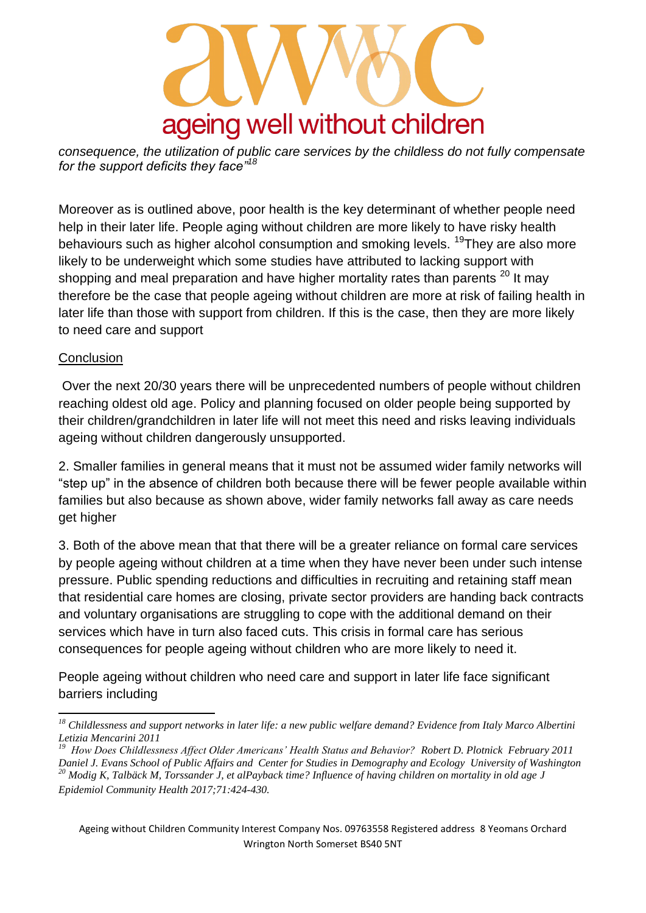## ageing well without children

*consequence, the utilization of public care services by the childless do not fully compensate for the support deficits they face"<sup>18</sup>*

Moreover as is outlined above, poor health is the key determinant of whether people need help in their later life. People aging without children are more likely to have risky health behaviours such as higher alcohol consumption and smoking levels. <sup>19</sup>They are also more likely to be underweight which some studies have attributed to lacking support with shopping and meal preparation and have higher mortality rates than parents  $20$  It may therefore be the case that people ageing without children are more at risk of failing health in later life than those with support from children. If this is the case, then they are more likely to need care and support

## **Conclusion**

 Over the next 20/30 years there will be unprecedented numbers of people without children reaching oldest old age. Policy and planning focused on older people being supported by their children/grandchildren in later life will not meet this need and risks leaving individuals ageing without children dangerously unsupported.

2. Smaller families in general means that it must not be assumed wider family networks will "step up" in the absence of children both because there will be fewer people available within families but also because as shown above, wider family networks fall away as care needs get higher

3. Both of the above mean that that there will be a greater reliance on formal care services by people ageing without children at a time when they have never been under such intense pressure. Public spending reductions and difficulties in recruiting and retaining staff mean that residential care homes are closing, private sector providers are handing back contracts and voluntary organisations are struggling to cope with the additional demand on their services which have in turn also faced cuts. This crisis in formal care has serious consequences for people ageing without children who are more likely to need it.

People ageing without children who need care and support in later life face significant barriers including

Ageing without Children Community Interest Company Nos. 09763558 Registered address 8 Yeomans Orchard Wrington North Somerset BS40 5NT

*<sup>18</sup> Childlessness and support networks in later life: a new public welfare demand? Evidence from Italy Marco Albertini Letizia Mencarini 2011 19*

*How Does Childlessness Affect Older Americans' Health Status and Behavior? Robert D. Plotnick February 2011 Daniel J. Evans School of Public Affairs and Center for Studies in Demography and Ecology University of Washington*

*<sup>20</sup> Modig K, Talbäck M, Torssander J, et alPayback time? Influence of having children on mortality in old age J Epidemiol Community Health 2017;71:424-430.*